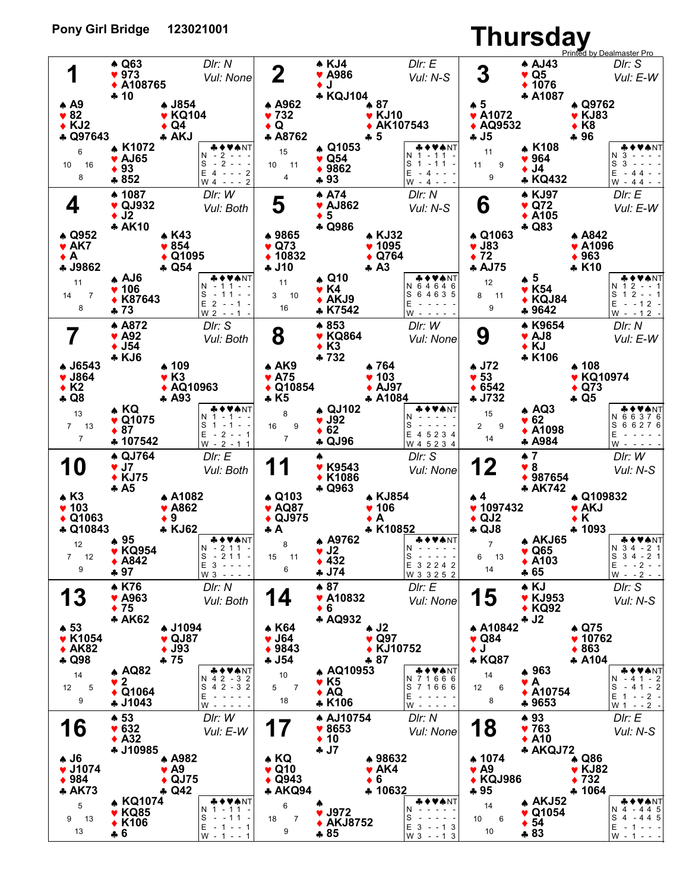